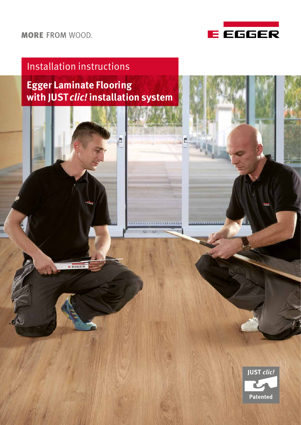**MORE FROM WOOD.** 



# Installation instructions

EGGER

**Egger Laminate Flooring with JUSTclic! installation system**

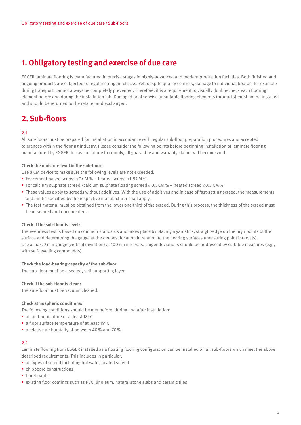## **1. Obligatory testing and exercise of due care**

EGGER laminate flooring is manufactured in precise stages in highly-advanced and modern production facilities. Both finished and ongoing products are subjected to regular stringent checks. Yet, despite quality controls, damage to individual boards, for example during transport, cannot always be completely prevented. Therefore, it is a requirement to visually double-check each flooring element before and during the installation job. Damaged or otherwise unsuitable flooring elements (products) must not be installed and should be returned to the retailer and exchanged.

## **2. Sub-floors**

## $2.1$

All sub-floors must be prepared for installation in accordance with regular sub-floor preparation procedures and accepted tolerances within the flooring industry. Please consider the following points before beginning installation of laminate flooring manufactured by EGGER. In case of failure to comply, all guarantee and warranty claims will become void.

## **Check the moisture level in the sub-floor:**

Use a CM device to make sure the following levels are not exceeded:

- For cement-based screed ≤ 2CM % heated screed ≤ 1.8CM%
- For calcium sulphate screed /calcium sulphate floating screed ≤ 0.5CM% heated screed ≤0.3 CM%
- These values apply to screeds without additives. With the use of additives and in case of fast-setting screed, the measurements and limitis specified by the respective manufacturer shall apply.
- The test material must be obtained from the lower one-third of the screed. During this process, the thickness of the screed must be measured and documented.

## **Check if the sub-floor is level:**

The evenness test is based on common standards and takes place by placing a yardstick/straight-edge on the high points of the surface and determining the gauge at the deepest location in relation to the bearing surfaces (measuring point intervals). Use a max. 2mm gauge (vertical deviation) at 100 cm intervals. Larger deviations should be addressed by suitable measures (e.g., with self-levelling compounds).

#### **Check the load-bearing capacity of the sub-floor:**

The sub-floor must be a sealed, self-supporting layer.

#### **Check if the sub-floor is clean:**

The sub-floor must be vacuum cleaned.

#### **Check atmospheric conditions:**

The following conditions should be met before, during and after installation:

- an air temperature of at least 18°C
- a floor surface temperature of at least 15°C
- a relative air humidity of between 40% and 70%

## 2.2

Laminate flooring from EGGER installed as a floating flooring configuration can be installed on all sub-floors which meet the above described requirements. This includes in particular:

- all types of screed including hot water-heated screed
- **·** chipboard constructions
- · fibreboards
- existing floor coatings such as PVC, linoleum, natural stone slabs and ceramic tiles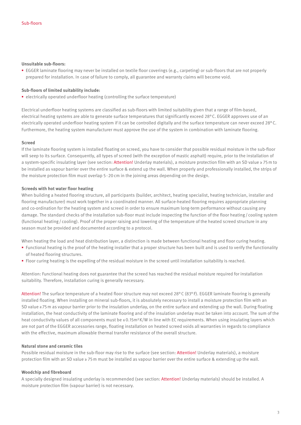## **Unsuitable sub-floors:**

 EGGER laminate flooring may never be installed on textile floor coverings (e.g., carpeting) or sub-floors that are not properly prepared for installation. In case of failure to comply, all guarantee and warranty claims will become void.

#### **Sub-floors of limited suitability include:**

electrically operated underfloor heating (controlling the surface temperature)

Electrical underfloor heating systems are classified as sub-floors with limited suitability given that a range of film-based, electrical heating systems are able to generate surface temperatures that significantly exceed 28°C. EGGER approves use of an electrically operated underfloor heating system if it can be controlled digitally and the surface temperature can never exceed 28°C. Furthermore, the heating system manufacturer must approve the use of the system in combination with laminate flooring.

#### **Screed**

If the laminate flooring system is installed floating on screed, you have to consider that possible residual moisture in the sub-floor will seep to its surface. Consequently, all types of screed (with the exception of mastic asphalt) require, prior to the installation of a system-specific insulating layer (see section: Attention! Underlay materials), a moisture protection film with an SD value ≥ 75m to be installed as vapour barrier over the entire surface & extend up the wall. When properly and professionally installed, the strips of the moisture protection film must overlap 5 -20cm in the joining areas depending on the design.

#### **Screeds with hot water floor heating**

When building a heated flooring structure, all participants (builder, architect, heating specialist, heating technician, installer and flooring manufacturer) must work together in a coordinated manner. All surface-heated flooring requires appropriate planning and co-ordination for the heating system and screed in order to ensure maximum long-term performance without causing any damage. The standard checks of the installation sub-floor must include inspecting the function of the floor heating/ cooling system (functional heating/ cooling). Proof of the proper raising and lowering of the temperature of the heated screed structure in any season must be provided and documented according to a protocol.

When heating the load and heat distribution layer, a distinction is made between functional heating and floor curing heating.

- Functional heating is the proof of the heating installer that a proper structure has been built and is used to verify the functionality of heated flooring structures.
- Floor curing heating is the expelling of the residual moisture in the screed until installation suitability is reached.

Attention: Functional heating does not guarantee that the screed has reached the residual moisture required for installation suitability. Therefore, installation curing is generally necessary.

Attention! The surface temperature of a heated floor structure may not exceed 28°C (83° F). EGGER laminate flooring is generally installed floating. When installing on mineral sub-floors, it is absolutely necessary to install a moisture protection film with an SD value ≥75m as vapour barrier prior to the insulation underlay, on the entire surface and extending up the wall. During floating installation, the heat conductivity of the laminate flooring and of the insulation underlay must be taken into account. The sum of the heat conductivity values of all components must be ≤0.15m²K/W in line with EC requirements. When using insulating layers which are not part of the EGGER accessories range, floating installation on heated screed voids all warranties in regards to compliance with the effective, maximum allowable thermal transfer resistance of the overall structure.

## **Natural stone and ceramic tiles**

Possible residual moisture in the sub-floor may rise to the surface (see section: Attention! Underlay materials), a moisture protection film with an SD value ≥ 75m must be installed as vapour barrier over the entire surface & extending up the wall.

#### **Woodchip and fibreboard**

A specially designed insulating underlay is recommended (see section: Attention! Underlay materials) should be installed. A moisture protection film (vapour barrier) is not necessary.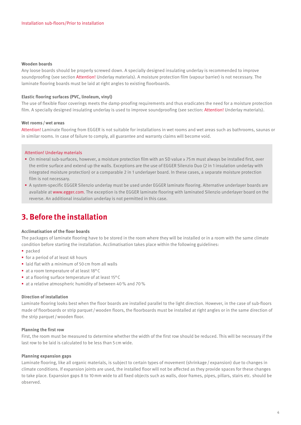## **Wooden boards**

Any loose boards should be properly screwed down. A specially designed insulating underlay is recommended to improve soundproofing (see section Attention! Underlay materials). A moisture protection film (vapour barrier) is not necessary. The laminate flooring boards must be laid at right angles to existing floorboards.

## **Elastic flooring surfaces (PVC, linoleum, vinyl)**

The use of flexible floor coverings meets the damp-proofing requirements and thus eradicates the need for a moisture protection film. A specially designed insulating underlay is used to improve soundproofing (see section: Attention! Underlay materials).

#### **Wet rooms/wet areas**

Attention! Laminate flooring from EGGER is not suitable for installations in wet rooms and wet areas such as bathrooms, saunas or in similar rooms. In case of failure to comply, all guarantee and warranty claims will become void.

#### Attention! Underlay materials

- On mineral sub-surfaces, however, a moisture protection film with an SD value ≥ 75m must always be installed first, over the entire surface and extend up the walls. Exceptions are the use of EGGER Silenzio Duo (2 in 1 insulation underlay with integrated moisture protection) or a comparable 2 in 1 underlayer board. In these cases, a separate moisture protection film is not necessary.
- A system-specific EGGER Silenzio underlay must be used under EGGER laminate flooring. Alternative underlayer boards are available at www.egger.com. The exception is the EGGER laminate flooring with laminated Silenzio underlayer board on the reverse. An additional insulation underlay is not permitted in this case.

## **3. Before the installation**

## **Acclimatisation of the floor boards**

The packages of laminate flooring have to be stored in the room where they will be installed or in a room with the same climate condition before starting the installation. Acclimatisation takes place within the following guidelines:

- **packed**
- **for a period of at least 48 hours**
- laid flat with a minimum of 50 cm from all walls
- at a room temperature of at least 18°C
- at a flooring surface temperature of at least 15°C
- at a relative atmospheric humidity of between 40% and 70%

#### **Direction of installation**

Laminate flooring looks best when the floor boards are installed parallel to the light direction. However, in the case of sub-floors made of floorboards or strip parquet /wooden floors, the floorboards must be installed at right angles or in the same direction of the strip parquet / wooden floor.

#### **Planning the first row**

First, the room must be measured to determine whether the width of the first row should be reduced. This will be necessary if the last row to be laid is calculated to be less than 5 cm wide.

### **Planning expansion gaps**

Laminate flooring, like all organic materials, is subject to certain types of movement (shrinkage/expansion) due to changes in climate conditions. If expansion joints are used, the installed floor will not be affected as they provide spaces for these changes to take place. Expansion gaps 8 to 10mm wide to all fixed objects such as walls, door frames, pipes, pillars, stairs etc. should be observed.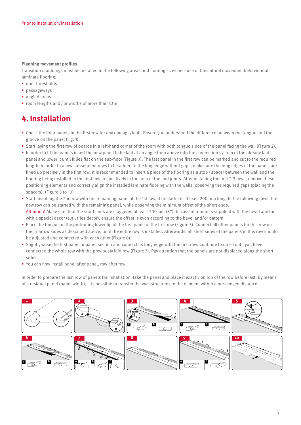#### **Planning movement profiles**

Transition mouldings must be installed in the following areas and flooring sizes because of the natural movement behaviour of laminate flooring:

- **door thresholds**
- passageways
- **angled** areas
- room lengths and / or widths of more than 10 m

## **4. Installation**

- Check the floor panels in the first row for any damage/fault. Ensure you understand the difference between the tongue and the groove on the panel (Fig. 1).
- Start laying the first row of boards in a left-hand corner of the room with both tongue sides of the panel facing the wall (Figure 2).
- In order to fit the panels insert the new panel to be laid at an angle from above into the connection system of the already laid panel and lower it until it lies flat on the sub-floor (Figure 3). The last panel in the first row can be marked and cut to the required length. In order to allow subsequent rows to be added to the long edge without gaps, make sure the long edges of the panels are lined up precisely in the first row. It is recommended to insert a piece of the flooring as a stop/ spacer between the wall and the flooring being installed in the first row, respectively in the area of the end joints. After installing the first 2-3 rows, remove these positioning elements and correctly align the installed laminate flooring with the walls, observing the required gaps (placing the spacers). (Figure 3 to 10)
- Start installing the 2nd row with the remaining panel of the 1st row, if the latter is at least 200 mm long. In the following rows, the new row can be started with the remaining panel, while observing the minimum offset of the short ends. Attention! Make sure that the short ends are staggered at least 200mm (8"). In case of products supplied with the bevel and/or with a special decor (e.g., tiles decor), ensure the offset is even according to the bevel and/or pattern.
- Place the tongue on the protruding lower lip of the first panel of the first row (Figure 5). Connect all other panels for this row on their narrow sides as described above, until the entire row is installed. Afterwards, all short sides of the panels in this row should be adjusted and connected with each other (Figure 6).
- Slightly raise the first panel or panel section and connect its long edge with the first row. Continue to do so until you have connected the whole row with the previously laid row (Figure 7). Pay attention that the panels are not displaced along the short sides.
- You can now install panel after panel, row after row.

In order to prepare the last row of panels for installation, take the panel and place it exactly on top of the row before last. By means of a residual panel (panel width), it is possible to transfer the wall structures to the element within a pre-chosen distance.

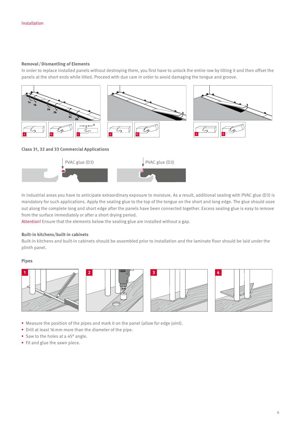## **Removal /Dismantling of Elements**

In order to replace installed panels without destroying them, you first have to unlock the entire row by tilting it and then offset the panels at the short ends while tilted. Proceed with due care in order to avoid damaging the tongue and groove.



In industrial areas you have to anticipate extraordinary exposure to moisture. As a result, additional sealing with PVAC glue (D3) is mandatory for such applications. Apply the sealing glue to the top of the tongue on the short and long edge. The glue should ooze out along the complete long and short edge after the panels have been connected together. Excess sealing glue is easy to remove from the surface immediately or after a short drying period.

Attention! Ensure that the elements below the sealing glue are installed without a gap.

## **Built-in kitchens/built-in cabinets**

Built-in kitchens and built-in cabinets should be assembled prior to installation and the laminate floor should be laid under the plinth panel.

#### **Pipes**



- Measure the position of the pipes and mark it on the panel (allow for edge joint).
- Drill at least 16 mm more than the diameter of the pipe.
- Saw to the holes at a 45° angle.
- Fit and glue the sawn piece.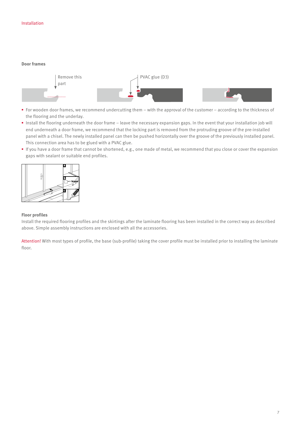## **Door frames**



- For wooden door frames, we recommend undercutting them with the approval of the customer according to the thickness of the flooring and the underlay.
- Install the flooring underneath the door frame leave the necessary expansion gaps. In the event that your installation job will end underneath a door frame, we recommend that the locking part is removed from the protruding groove of the pre-installed panel with a chisel. The newly installed panel can then be pushed horizontally over the groove of the previously installed panel. This connection area has to be glued with a PVAC glue.
- If you have a door frame that cannot be shortened, e.g., one made of metal, we recommend that you close or cover the expansion gaps with sealant or suitable end profiles.



## **Floor profiles**

Install the required flooring profiles and the skirtings after the laminate flooring has been installed in the correct way as described above. Simple assembly instructions are enclosed with all the accessories.

Attention! With most types of profile, the base (sub-profile) taking the cover profile must be installed prior to installing the laminate floor.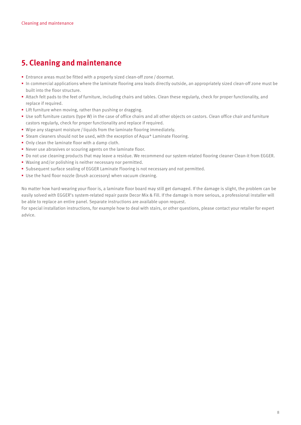## **5. Cleaning and maintenance**

- Entrance areas must be fitted with a properly sized clean-off zone/doormat.
- In commercial applications where the laminate flooring area leads directly outside, an appropriately sized clean-off zone must be built into the floor structure.
- Attach felt pads to the feet of furniture, including chairs and tables. Clean these regularly, check for proper functionality, and replace if required.
- **EXTERN FIGHT FIGHT III FIGHT III** Lift furniture when moving, rather than pushing or dragging.
- Use soft furniture castors (type W) in the case of office chairs and all other objects on castors. Clean office chair and furniture castors regularly, check for proper functionality and replace if required.
- Wipe any stagnant moisture/ liquids from the laminate flooring immediately.
- Steam cleaners should not be used, with the exception of Aqua+ Laminate Flooring.
- Only clean the laminate floor with a damp cloth.
- Never use abrasives or scouring agents on the laminate floor.
- Do not use cleaning products that may leave a residue. We recommend our system-related flooring cleaner Clean-it from EGGER.
- Waxing and/or polishing is neither necessary nor permitted.
- Subsequent surface sealing of EGGER Laminate Flooring is not necessary and not permitted.
- Use the hard floor nozzle (brush accessory) when vacuum cleaning.

No matter how hard-wearing your floor is, a laminate floor board may still get damaged. If the damage is slight, the problem can be easily solved with EGGER's system-related repair paste Decor Mix & Fill. If the damage is more serious, a professional installer will be able to replace an entire panel. Separate instructions are available upon request.

For special installation instructions, for example how to deal with stairs, or other questions, please contact your retailer for expert advice.